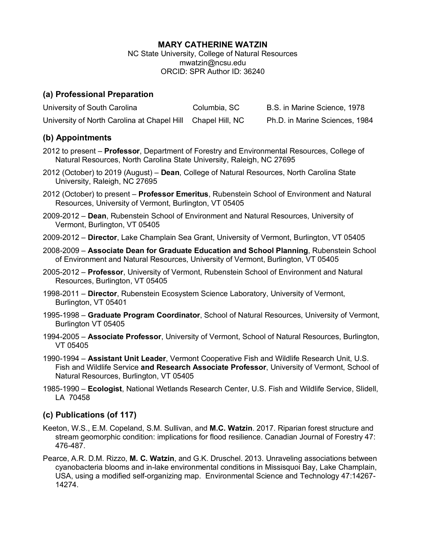#### **MARY CATHERINE WATZIN**

NC State University, College of Natural Resources mwatzin@ncsu.edu ORCID: SPR Author ID: 36240

### **(a) Professional Preparation**

| University of South Carolina                                | Columbia, SC | B.S. in Marine Science, 1978   |
|-------------------------------------------------------------|--------------|--------------------------------|
| University of North Carolina at Chapel Hill Chapel Hill, NC |              | Ph.D. in Marine Sciences, 1984 |

## **(b) Appointments**

- 2012 to present **Professor**, Department of Forestry and Environmental Resources, College of Natural Resources, North Carolina State University, Raleigh, NC 27695
- 2012 (October) to 2019 (August) **Dean**, College of Natural Resources, North Carolina State University, Raleigh, NC 27695
- 2012 (October) to present **Professor Emeritus**, Rubenstein School of Environment and Natural Resources, University of Vermont, Burlington, VT 05405
- 2009-2012 **Dean**, Rubenstein School of Environment and Natural Resources, University of Vermont, Burlington, VT 05405
- 2009-2012 **Director**, Lake Champlain Sea Grant, University of Vermont, Burlington, VT 05405
- 2008-2009 **Associate Dean for Graduate Education and School Planning**, Rubenstein School of Environment and Natural Resources, University of Vermont, Burlington, VT 05405
- 2005-2012 **Professor**, University of Vermont, Rubenstein School of Environment and Natural Resources, Burlington, VT 05405
- 1998-2011 **Director**, Rubenstein Ecosystem Science Laboratory, University of Vermont, Burlington, VT 05401
- 1995-1998 **Graduate Program Coordinator**, School of Natural Resources, University of Vermont, Burlington VT 05405
- 1994-2005 **Associate Professor**, University of Vermont, School of Natural Resources, Burlington, VT 05405
- 1990-1994 **Assistant Unit Leader**, Vermont Cooperative Fish and Wildlife Research Unit, U.S. Fish and Wildlife Service **and Research Associate Professor**, University of Vermont, School of Natural Resources, Burlington, VT 05405
- 1985-1990 **Ecologist**, National Wetlands Research Center, U.S. Fish and Wildlife Service, Slidell, LA 70458

# **(c) Publications (of 117)**

- Keeton, W.S., E.M. Copeland, S.M. Sullivan, and **M.C. Watzin**. 2017. Riparian forest structure and stream geomorphic condition: implications for flood resilience. Canadian Journal of Forestry 47: 476-487.
- Pearce, A.R. D.M. Rizzo, **M. C. Watzin**, and G.K. Druschel. 2013. Unraveling associations between cyanobacteria blooms and in-lake environmental conditions in Missisquoi Bay, Lake Champlain, USA, using a modified self-organizing map. Environmental Science and Technology 47:14267- 14274.